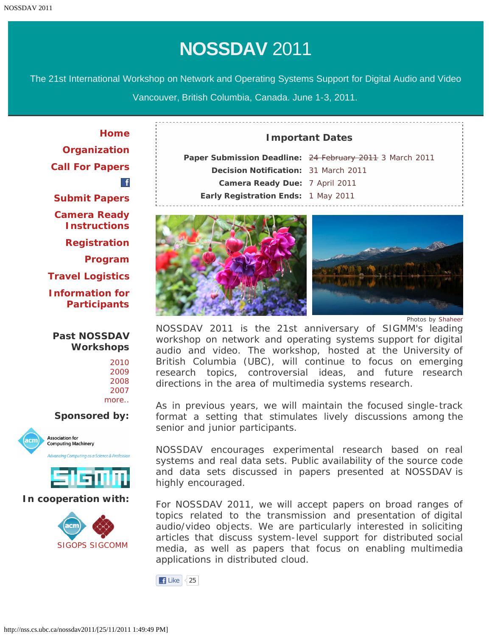The 21st International Workshop on Network and Operating Systems Support for Digital Audio and Video

Vancouver, British Columbia, Canada. June 1-3, 2011.

**[Home](#page-1-0) [Organization](#page-2-0) [Call For Papers](#page-4-0)**  $\mathbf{f}$ **[Submit Papers](http://nss.cs.ubc.ca/nossdav2011-hotcrp/) [Camera Ready](http://www.sheridanprinting.com/typedept/nossdav.htm) [Instructions](http://www.sheridanprinting.com/typedept/nossdav.htm) [Registration](#page-6-0) [Program](#page-7-0) [Travel Logistics](#page-12-0) [Information for](#page-14-0) [Participants](#page-14-0)**

# **Past NOSSDAV Workshops**

### **Sponsored by:**





# **In cooperation with:**



# Paper Submission Deadline: 24 February 2011 3 March 2011 **Decision Notification:** 31 March 2011 **Camera Ready Due:** 7 April 2011 **Early Registration Ends:** 1 May 2011

**Important Dates**



*Photos by [Shaheer](http://www.flickr.com/photos/shaheermuhammad/sets/)*

NOSSDAV 2011 is the 21st anniversary of SIGMM's leading workshop on network and operating systems support for digital audio and video. The workshop, hosted at the University of British Columbia (UBC), will continue to focus on emerging research topics, controversial ideas, and future research directions in the area of multimedia systems research.

As in previous years, we will maintain the focused single-track format a setting that stimulates lively discussions among the senior and junior participants.

NOSSDAV encourages experimental research based on real systems and real data sets. Public availability of the source code and data sets discussed in papers presented at NOSSDAV is highly encouraged.

For NOSSDAV 2011, we will accept papers on broad ranges of topics related to the transmission and presentation of digital audio/video objects. We are particularly interested in soliciting articles that discuss system-level support for distributed social media, as well as papers that focus on enabling multimedia applications in distributed cloud.

 $\vert$  Like  $\vert$  < 25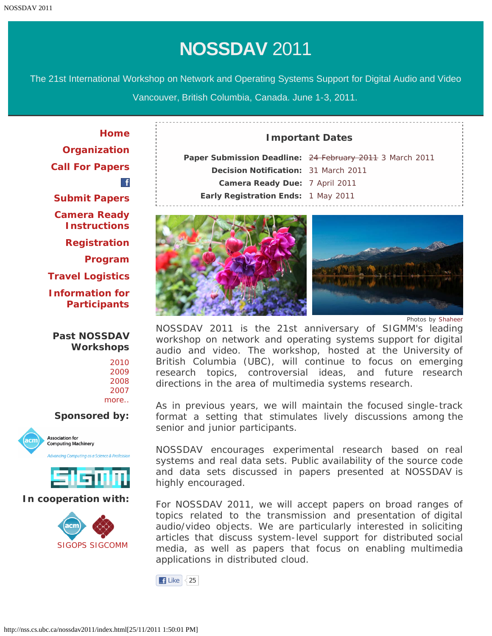<span id="page-1-0"></span>The 21st International Workshop on Network and Operating Systems Support for Digital Audio and Video

Vancouver, British Columbia, Canada. June 1-3, 2011.

**[Home](#page-1-0) [Organization](#page-2-0) [Call For Papers](#page-4-0)**  $\mathbf{f}$ **[Submit Papers](http://nss.cs.ubc.ca/nossdav2011-hotcrp/) [Camera Ready](http://www.sheridanprinting.com/typedept/nossdav.htm) [Instructions](http://www.sheridanprinting.com/typedept/nossdav.htm) [Registration](#page-6-0) [Program](#page-7-0) [Travel Logistics](#page-12-0) [Information for](#page-14-0) [Participants](#page-14-0)**

# **Past NOSSDAV Workshops**

### **Sponsored by:**





# **In cooperation with:**



# Paper Submission Deadline: 24 February 2011 3 March 2011 **Decision Notification:** 31 March 2011 **Camera Ready Due:** 7 April 2011 **Early Registration Ends:** 1 May 2011

**Important Dates**



*Photos by [Shaheer](http://www.flickr.com/photos/shaheermuhammad/sets/)*

NOSSDAV 2011 is the 21st anniversary of SIGMM's leading workshop on network and operating systems support for digital audio and video. The workshop, hosted at the University of British Columbia (UBC), will continue to focus on emerging research topics, controversial ideas, and future research directions in the area of multimedia systems research.

As in previous years, we will maintain the focused single-track format a setting that stimulates lively discussions among the senior and junior participants.

NOSSDAV encourages experimental research based on real systems and real data sets. Public availability of the source code and data sets discussed in papers presented at NOSSDAV is highly encouraged.

For NOSSDAV 2011, we will accept papers on broad ranges of topics related to the transmission and presentation of digital audio/video objects. We are particularly interested in soliciting articles that discuss system-level support for distributed social media, as well as papers that focus on enabling multimedia applications in distributed cloud.

 $\vert$  Like  $\vert$  < 25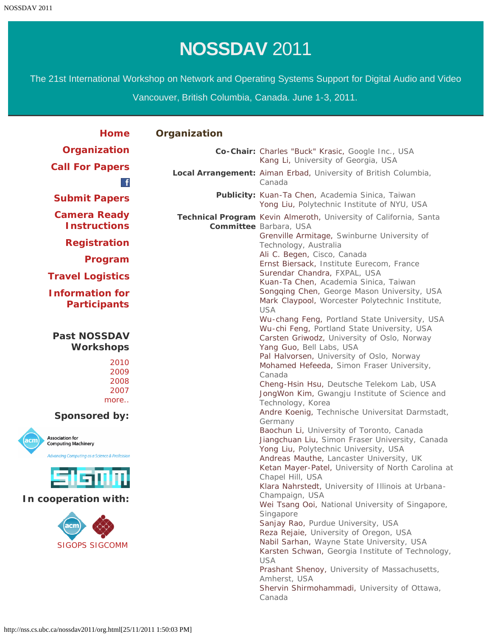<span id="page-2-0"></span>The 21st International Workshop on Network and Operating Systems Support for Digital Audio and Video

Vancouver, British Columbia, Canada. June 1-3, 2011.

| <b>Home</b>                                                                                                                                                           | Organization |                                                                                                                                                                                                                                                                                                                                                                                                                                                                                                                                                                                                                                                                      |  |  |
|-----------------------------------------------------------------------------------------------------------------------------------------------------------------------|--------------|----------------------------------------------------------------------------------------------------------------------------------------------------------------------------------------------------------------------------------------------------------------------------------------------------------------------------------------------------------------------------------------------------------------------------------------------------------------------------------------------------------------------------------------------------------------------------------------------------------------------------------------------------------------------|--|--|
| Organization                                                                                                                                                          |              | Co-Chair: Charles "Buck" Krasic, Google Inc., USA<br>Kang Li, University of Georgia, USA                                                                                                                                                                                                                                                                                                                                                                                                                                                                                                                                                                             |  |  |
| <b>Call For Papers</b><br>$\mathbf{f}$                                                                                                                                |              | Local Arrangement: Aiman Erbad, University of British Columbia,<br>Canada                                                                                                                                                                                                                                                                                                                                                                                                                                                                                                                                                                                            |  |  |
| <b>Submit Papers</b>                                                                                                                                                  |              | Publicity: Kuan-Ta Chen, Academia Sinica, Taiwan<br>Yong Liu, Polytechnic Institute of NYU, USA                                                                                                                                                                                                                                                                                                                                                                                                                                                                                                                                                                      |  |  |
| <b>Camera Ready</b><br><b>Instructions</b>                                                                                                                            |              | Technical Program Kevin Almeroth, University of California, Santa<br>Committee Barbara, USA                                                                                                                                                                                                                                                                                                                                                                                                                                                                                                                                                                          |  |  |
| <b>Registration</b>                                                                                                                                                   |              | Grenville Armitage, Swinburne University of<br>Technology, Australia<br>Ali C. Begen, Cisco, Canada                                                                                                                                                                                                                                                                                                                                                                                                                                                                                                                                                                  |  |  |
| Program                                                                                                                                                               |              | Ernst Biersack, Institute Eurecom, France                                                                                                                                                                                                                                                                                                                                                                                                                                                                                                                                                                                                                            |  |  |
| <b>Travel Logistics</b>                                                                                                                                               |              | Surendar Chandra, FXPAL, USA<br>Kuan-Ta Chen, Academia Sinica, Taiwan                                                                                                                                                                                                                                                                                                                                                                                                                                                                                                                                                                                                |  |  |
| <b>Information for</b><br><b>Participants</b>                                                                                                                         |              | Songqing Chen, George Mason University, USA<br>Mark Claypool, Worcester Polytechnic Institute,<br><b>USA</b><br>Wu-chang Feng, Portland State University, USA                                                                                                                                                                                                                                                                                                                                                                                                                                                                                                        |  |  |
| <b>Past NOSSDAV</b><br><b>Workshops</b>                                                                                                                               |              | Wu-chi Feng, Portland State University, USA<br>Carsten Griwodz, University of Oslo, Norway<br>Yang Guo, Bell Labs, USA<br>Pal Halvorsen, University of Oslo, Norway                                                                                                                                                                                                                                                                                                                                                                                                                                                                                                  |  |  |
| 2010<br>2009<br>2008<br>2007<br>more                                                                                                                                  |              | Mohamed Hefeeda, Simon Fraser University,<br>Canada<br>Cheng-Hsin Hsu, Deutsche Telekom Lab, USA<br>JongWon Kim, Gwangju Institute of Science and<br>Technology, Korea                                                                                                                                                                                                                                                                                                                                                                                                                                                                                               |  |  |
| <b>Sponsored by:</b>                                                                                                                                                  |              | Andre Koenig, Technische Universitat Darmstadt,<br>Germany                                                                                                                                                                                                                                                                                                                                                                                                                                                                                                                                                                                                           |  |  |
| <b>Association for</b><br>acm)<br><b>Computing Machinery</b><br>Advancing Computing as a Science & Profession<br>In cooperation with:<br>acm<br><b>SIGOPS SIGCOMM</b> |              | Baochun Li, University of Toronto, Canada<br>Jiangchuan Liu, Simon Fraser University, Canada<br>Yong Liu, Polytechnic University, USA<br>Andreas Mauthe, Lancaster University, UK<br>Ketan Mayer-Patel, University of North Carolina at<br>Chapel Hill, USA<br>Klara Nahrstedt, University of Illinois at Urbana-<br>Champaign, USA<br>Wei Tsang Ooi, National University of Singapore,<br>Singapore<br>Sanjay Rao, Purdue University, USA<br>Reza Rejaie, University of Oregon, USA<br>Nabil Sarhan, Wayne State University, USA<br>Karsten Schwan, Georgia Institute of Technology,<br><b>USA</b><br>Prashant Shenoy, University of Massachusetts,<br>Amherst, USA |  |  |
|                                                                                                                                                                       |              | Shervin Shirmohammadi, University of Ottawa,<br>Canada                                                                                                                                                                                                                                                                                                                                                                                                                                                                                                                                                                                                               |  |  |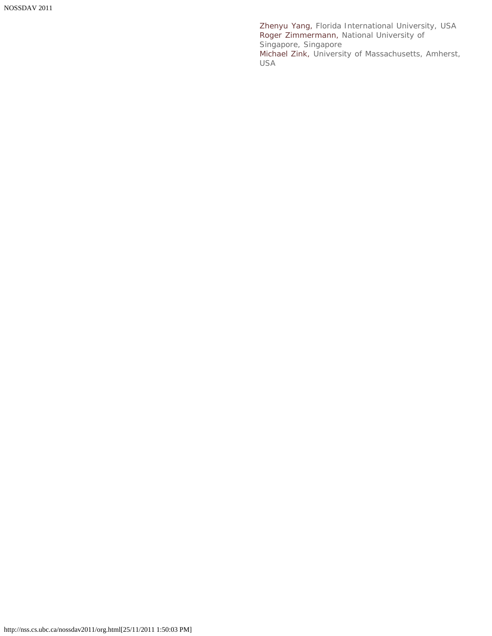Zhenyu Yang, Florida International University, USA Roger Zimmermann, National University of Singapore, Singapore Michael Zink, University of Massachusetts, Amherst, USA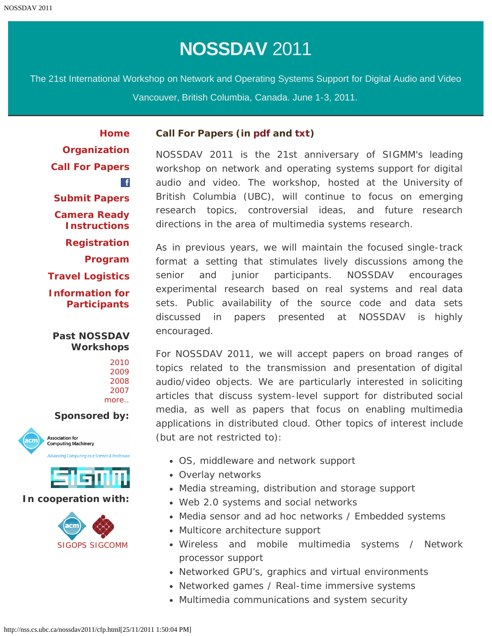<span id="page-4-0"></span>The 21st International Workshop on Network and Operating Systems Support for Digital Audio and Video Vancouver, British Columbia, Canada. June 1-3, 2011.

**[Home](#page-1-0) [Organization](#page-2-0)**

**[Call For Papers](#page-4-0)**  $\mathbf{f}$ **[Submit Papers](http://nss.cs.ubc.ca/nossdav2011-hotcrp/) [Camera Ready](http://www.sheridanprinting.com/typedept/nossdav.htm) [Instructions](http://www.sheridanprinting.com/typedept/nossdav.htm) [Registration](#page-6-0) [Program](#page-7-0) [Travel Logistics](#page-12-0)**

**[Information for](#page-14-0) [Participants](#page-14-0)**

# **Past NOSSDAV Workshops**

# **Sponsored by:**





### **In cooperation with:**



# **Call For Papers (in [pdf](#page-16-0) and [txt\)](#page-17-0)**

NOSSDAV 2011 is the 21st anniversary of SIGMM's leading workshop on network and operating systems support for digital audio and video. The workshop, hosted at the University of British Columbia (UBC), will continue to focus on emerging research topics, controversial ideas, and future research directions in the area of multimedia systems research.

As in previous years, we will maintain the focused single-track format a setting that stimulates lively discussions among the senior and junior participants. NOSSDAV encourages experimental research based on real systems and real data sets. Public availability of the source code and data sets discussed in papers presented at NOSSDAV is highly encouraged.

For NOSSDAV 2011, we will accept papers on broad ranges of topics related to the transmission and presentation of digital audio/video objects. We are particularly interested in soliciting articles that discuss system-level support for distributed social media, as well as papers that focus on enabling multimedia applications in distributed cloud. Other topics of interest include (but are not restricted to):

- OS, middleware and network support
- Overlay networks
- Media streaming, distribution and storage support
- Web 2.0 systems and social networks
- Media sensor and ad hoc networks / Embedded systems
- Multicore architecture support
- Wireless and mobile multimedia systems / Network processor support
- Networked GPU's, graphics and virtual environments
- Networked games / Real-time immersive systems
- Multimedia communications and system security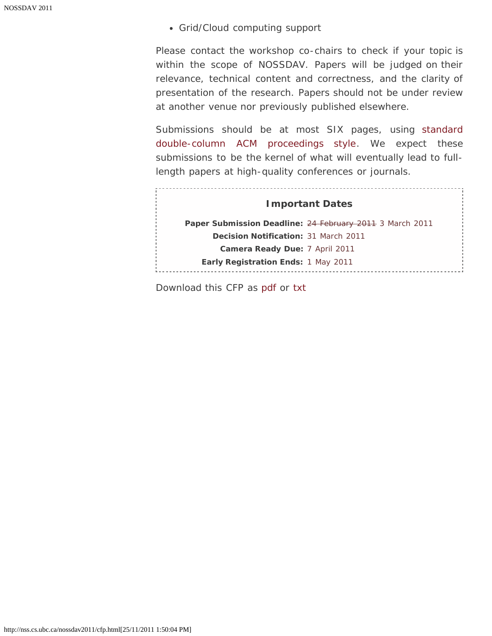Grid/Cloud computing support

Please contact the workshop co-chairs to check if your topic is within the scope of NOSSDAV. Papers will be judged on their relevance, technical content and correctness, and the clarity of presentation of the research. Papers should not be under review at another venue nor previously published elsewhere.

Submissions should be at most SIX pages, using [standard](http://www.acm.org/sigs/publications/proceedings-templates) [double-column ACM proceedings style.](http://www.acm.org/sigs/publications/proceedings-templates) We expect these submissions to be the kernel of what will eventually lead to fulllength papers at high-quality conferences or journals.

<u>. . . . . . . .</u>

| <b>Important Dates</b>                      |                                                          |  |  |  |  |  |  |  |  |
|---------------------------------------------|----------------------------------------------------------|--|--|--|--|--|--|--|--|
|                                             | Paper Submission Deadline: 24 February 2011 3 March 2011 |  |  |  |  |  |  |  |  |
| <b>Decision Notification: 31 March 2011</b> |                                                          |  |  |  |  |  |  |  |  |
| Camera Ready Due: 7 April 2011              |                                                          |  |  |  |  |  |  |  |  |
| <b>Early Registration Ends: 1 May 2011</b>  |                                                          |  |  |  |  |  |  |  |  |
|                                             |                                                          |  |  |  |  |  |  |  |  |

Download this CFP as [pdf](#page-16-0) or [txt](#page-17-0)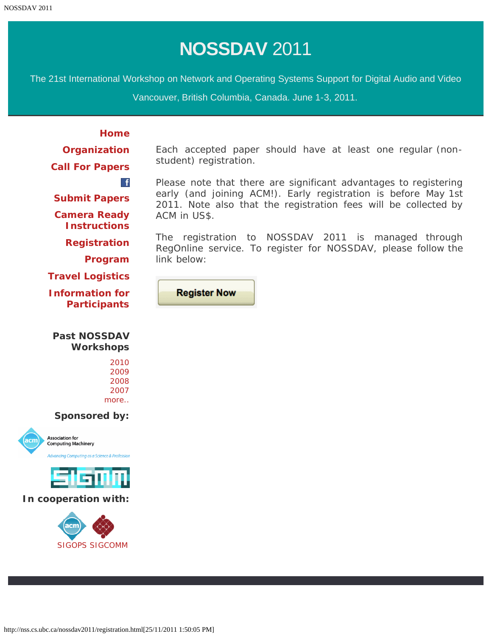<span id="page-6-0"></span>The 21st International Workshop on Network and Operating Systems Support for Digital Audio and Video

Vancouver, British Columbia, Canada. June 1-3, 2011.

**[Home](#page-1-0) [Organization](#page-2-0) [Call For Papers](#page-4-0)**  $\mathbf{f}$ **[Program](#page-7-0) [Travel Logistics](#page-12-0)**

The registration to NOSSDAV 2011 is managed through RegOnline service. To register for NOSSDAV, please follow the link below:

Each accepted paper should have at least one regular (non-

Please note that there are significant advantages to registering early (and joining ACM!). Early registration is before May 1st 2011. Note also that the registration fees will be collected by

**Register Now** 

student) registration.

ACM in US\$.

**[Submit Papers](http://nss.cs.ubc.ca/nossdav2011-hotcrp/) [Camera Ready](http://www.sheridanprinting.com/typedept/nossdav.htm) [Instructions](http://www.sheridanprinting.com/typedept/nossdav.htm) [Registration](#page-6-0)**

**[Information for](#page-14-0) [Participants](#page-14-0)**

# **Past NOSSDAV Workshops**

**Sponsored by:**





### **In cooperation with:**

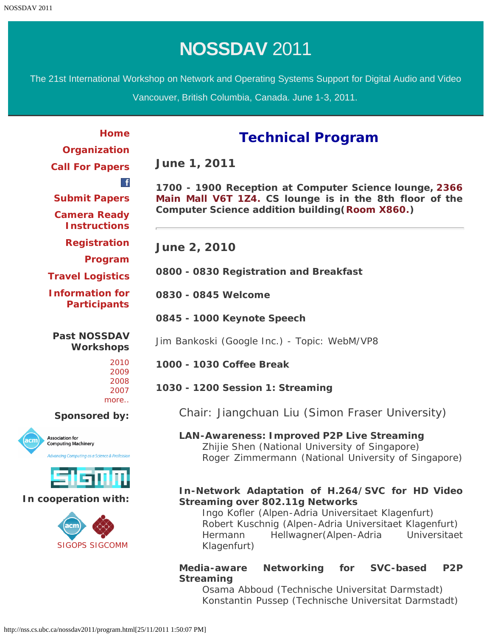<span id="page-7-0"></span>The 21st International Workshop on Network and Operating Systems Support for Digital Audio and Video

Vancouver, British Columbia, Canada. June 1-3, 2011.

# **Technical Program**

**[Organization](#page-2-0) [Call For Papers](#page-4-0)**

**[Home](#page-1-0)**

 $\mathbf{f}$ 

**[Submit Papers](http://nss.cs.ubc.ca/nossdav2011-hotcrp/) [Camera Ready](http://www.sheridanprinting.com/typedept/nossdav.htm) [Instructions](http://www.sheridanprinting.com/typedept/nossdav.htm)**

**[Registration](#page-6-0)**

**[Program](#page-7-0)**

**[Travel Logistics](#page-12-0)**

**[Information for](#page-14-0) [Participants](#page-14-0)**

**Past NOSSDAV Workshops**

# **Sponsored by:**





# **In cooperation with:**



**1700 - 1900 Reception at Computer Science lounge, [2366](http://www.maps.ubc.ca/PROD/index_detail.php?show=y,n,n,n,n,y&bldg2Search=n&locat1=166) [Main Mall V6T 1Z4.](http://www.maps.ubc.ca/PROD/index_detail.php?show=y,n,n,n,n,y&bldg2Search=n&locat1=166) CS lounge is in the 8th floor of the Computer Science addition building([Room X860.](https://www.cs.ubc.ca/sites/cs/files/pages/level8.pdf))**

**June 2, 2010**

**June 1, 2011**

**0800 - 0830 Registration and Breakfast**

**0830 - 0845 Welcome**

**0845 - 1000 Keynote Speech**

Jim Bankoski (Google Inc.) - Topic: WebM/VP8

**1000 - 1030 Coffee Break**

**1030 - 1200 Session 1: Streaming**

Chair: Jiangchuan Liu (Simon Fraser University)

**LAN-Awareness: Improved P2P Live Streaming** Zhijie Shen (National University of Singapore) Roger Zimmermann (National University of Singapore)

# **In-Network Adaptation of H.264/SVC for HD Video Streaming over 802.11g Networks**

Ingo Kofler (Alpen-Adria Universitaet Klagenfurt) Robert Kuschnig (Alpen-Adria Universitaet Klagenfurt) Hermann Hellwagner(Alpen-Adria Universitaet Klagenfurt)

# **Media-aware Networking for SVC-based P2P Streaming**

Osama Abboud (Technische Universitat Darmstadt) Konstantin Pussep (Technische Universitat Darmstadt)

http://nss.cs.ubc.ca/nossdav2011/program.html[25/11/2011 1:50:07 PM]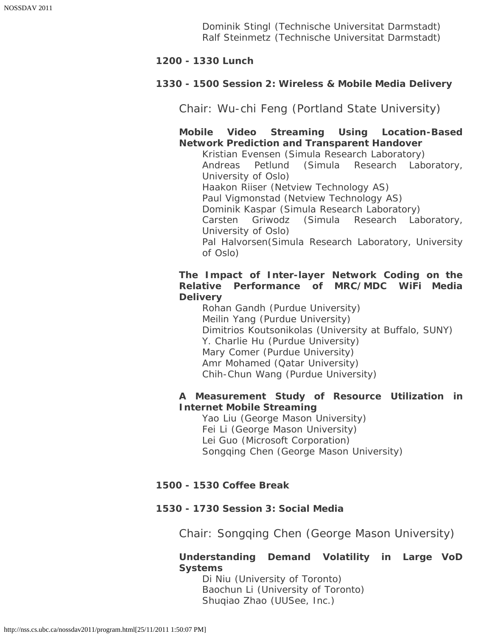Dominik Stingl (Technische Universitat Darmstadt) Ralf Steinmetz (Technische Universitat Darmstadt)

# **1200 - 1330 Lunch**

# **1330 - 1500 Session 2: Wireless & Mobile Media Delivery**

Chair: Wu-chi Feng (Portland State University)

**Mobile Video Streaming Using Location-Based Network Prediction and Transparent Handover** 

Kristian Evensen (Simula Research Laboratory) Andreas Petlund (Simula Research Laboratory, University of Oslo) Haakon Riiser (Netview Technology AS) Paul Vigmonstad (Netview Technology AS) Dominik Kaspar (Simula Research Laboratory) Carsten Griwodz (Simula Research Laboratory, University of Oslo) Pal Halvorsen(Simula Research Laboratory, University of Oslo)

# **The Impact of Inter-layer Network Coding on the Relative Performance of MRC/MDC WiFi Media Delivery**

Rohan Gandh (Purdue University) Meilin Yang (Purdue University) Dimitrios Koutsonikolas (University at Buffalo, SUNY) Y. Charlie Hu (Purdue University) Mary Comer (Purdue University) Amr Mohamed (Qatar University) Chih-Chun Wang (Purdue University)

# **A Measurement Study of Resource Utilization in Internet Mobile Streaming**

Yao Liu (George Mason University) Fei Li (George Mason University) Lei Guo (Microsoft Corporation) Songqing Chen (George Mason University)

# **1500 - 1530 Coffee Break**

# **1530 - 1730 Session 3: Social Media**

Chair: Songqing Chen (George Mason University)

# **Understanding Demand Volatility in Large VoD Systems**

Di Niu (University of Toronto) Baochun Li (University of Toronto) Shuqiao Zhao (UUSee, Inc.)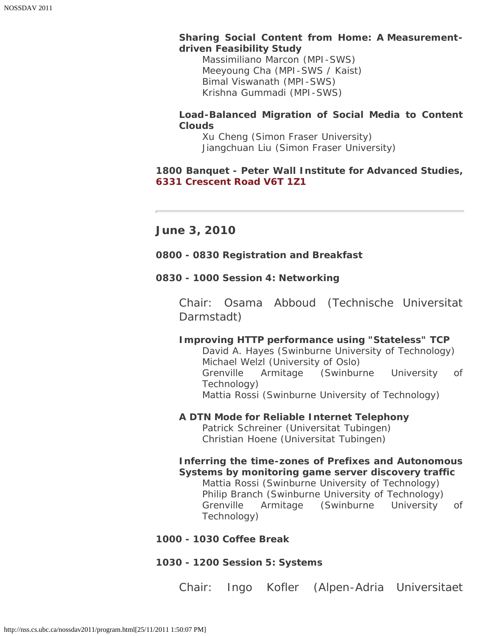# **Sharing Social Content from Home: A Measurementdriven Feasibility Study**

Massimiliano Marcon (MPI-SWS) Meeyoung Cha (MPI-SWS / Kaist) Bimal Viswanath (MPI-SWS) Krishna Gummadi (MPI-SWS)

# **Load-Balanced Migration of Social Media to Content Clouds**

Xu Cheng (Simon Fraser University) Jiangchuan Liu (Simon Fraser University)

# **1800 Banquet - Peter Wall Institute for Advanced Studies, [6331 Crescent Road V6T 1Z1](http://www.maps.ubc.ca/PROD/index_detail.php?show=y,n,n,n,n,y&bldg2Search=n&locat1=344)**

**June 3, 2010**

# **0800 - 0830 Registration and Breakfast**

# **0830 - 1000 Session 4: Networking**

Chair: Osama Abboud (Technische Universitat Darmstadt)

# **Improving HTTP performance using "Stateless" TCP**

David A. Hayes (Swinburne University of Technology) Michael Welzl (University of Oslo) Grenville Armitage (Swinburne University of Technology) Mattia Rossi (Swinburne University of Technology)

# **A DTN Mode for Reliable Internet Telephony**

Patrick Schreiner (Universitat Tubingen) Christian Hoene (Universitat Tubingen)

# **Inferring the time-zones of Prefixes and Autonomous Systems by monitoring game server discovery traffic**

Mattia Rossi (Swinburne University of Technology) Philip Branch (Swinburne University of Technology) Grenville Armitage (Swinburne University of Technology)

# **1000 - 1030 Coffee Break**

# **1030 - 1200 Session 5: Systems**

Chair: Ingo Kofler (Alpen-Adria Universitaet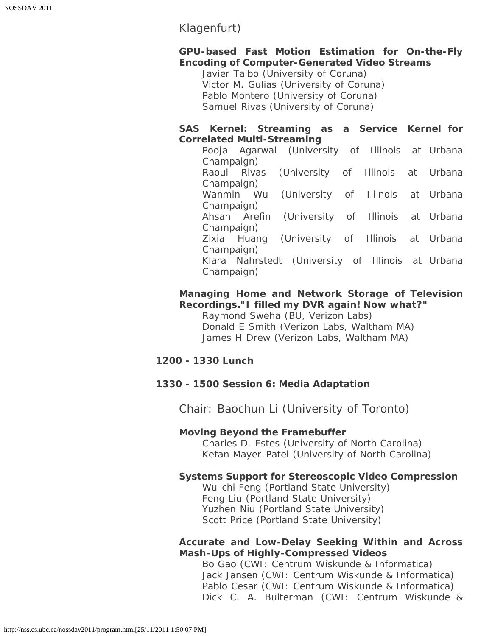# Klagenfurt)

# **GPU-based Fast Motion Estimation for On-the-Fly Encoding of Computer-Generated Video Streams**

Javier Taibo (University of Coruna) Victor M. Gulias (University of Coruna) Pablo Montero (University of Coruna) Samuel Rivas (University of Coruna)

# **SAS Kernel: Streaming as a Service Kernel for Correlated Multi-Streaming**

|             |              | Pooja Agarwal (University of Illinois at Urbana   |  |  |  |  |  |  |
|-------------|--------------|---------------------------------------------------|--|--|--|--|--|--|
| Champaign)  |              |                                                   |  |  |  |  |  |  |
| Raoul Rivas |              | (University of Illinois at Urbana                 |  |  |  |  |  |  |
| Champaign)  |              |                                                   |  |  |  |  |  |  |
|             | Wanmin Wu    | (University of Illinois at Urbana                 |  |  |  |  |  |  |
| Champaign)  |              |                                                   |  |  |  |  |  |  |
|             | Ahsan Arefin | (University of Illinois at Urbana                 |  |  |  |  |  |  |
| Champaign)  |              |                                                   |  |  |  |  |  |  |
|             | Zixia Huang  | (University of Illinois at Urbana                 |  |  |  |  |  |  |
| Champaign)  |              |                                                   |  |  |  |  |  |  |
|             |              | Klara Nahrstedt (University of Illinois at Urbana |  |  |  |  |  |  |
| Champaign)  |              |                                                   |  |  |  |  |  |  |

# **Managing Home and Network Storage of Television Recordings."I filled my DVR again! Now what?"**

Raymond Sweha (BU, Verizon Labs) Donald E Smith (Verizon Labs, Waltham MA) James H Drew (Verizon Labs, Waltham MA)

# **1200 - 1330 Lunch**

# **1330 - 1500 Session 6: Media Adaptation**

Chair: Baochun Li (University of Toronto)

# **Moving Beyond the Framebuffer**

Charles D. Estes (University of North Carolina) Ketan Mayer-Patel (University of North Carolina)

# **Systems Support for Stereoscopic Video Compression**

Wu-chi Feng (Portland State University) Feng Liu (Portland State University) Yuzhen Niu (Portland State University) Scott Price (Portland State University)

# **Accurate and Low-Delay Seeking Within and Across Mash-Ups of Highly-Compressed Videos**

Bo Gao (CWI: Centrum Wiskunde & Informatica) Jack Jansen (CWI: Centrum Wiskunde & Informatica) Pablo Cesar (CWI: Centrum Wiskunde & Informatica) Dick C. A. Bulterman (CWI: Centrum Wiskunde &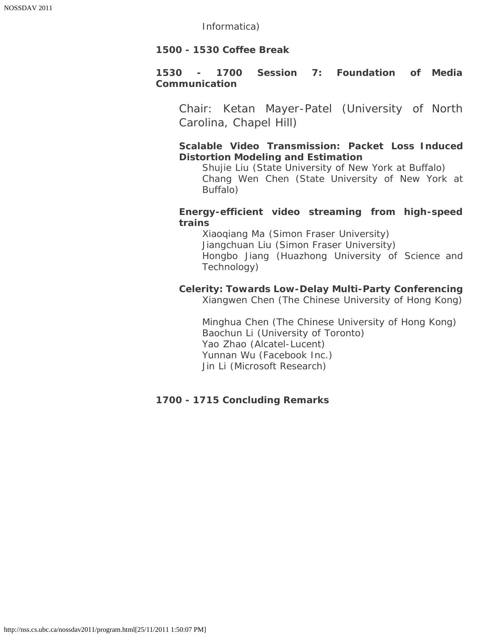Informatica)

# **1500 - 1530 Coffee Break**

# **1530 - 1700 Session 7: Foundation of Media Communication**

Chair: Ketan Mayer-Patel (University of North Carolina, Chapel Hill)

# **Scalable Video Transmission: Packet Loss Induced Distortion Modeling and Estimation**

Shujie Liu (State University of New York at Buffalo) Chang Wen Chen (State University of New York at Buffalo)

# **Energy-efficient video streaming from high-speed trains**

Xiaoqiang Ma (Simon Fraser University) Jiangchuan Liu (Simon Fraser University) Hongbo Jiang (Huazhong University of Science and Technology)

# **Celerity: Towards Low-Delay Multi-Party Conferencing**

Xiangwen Chen (The Chinese University of Hong Kong)

Minghua Chen (The Chinese University of Hong Kong) Baochun Li (University of Toronto) Yao Zhao (Alcatel-Lucent) Yunnan Wu (Facebook Inc.) Jin Li (Microsoft Research)

# **1700 - 1715 Concluding Remarks**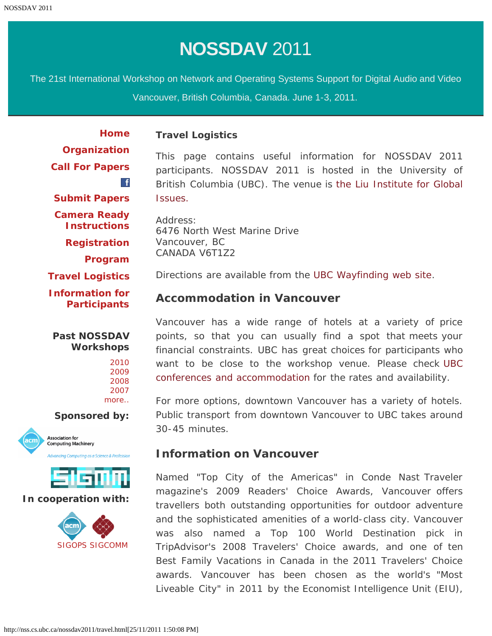<span id="page-12-0"></span>The 21st International Workshop on Network and Operating Systems Support for Digital Audio and Video

Vancouver, British Columbia, Canada. June 1-3, 2011.

**[Home](#page-1-0) [Organization](#page-2-0) [Call For Papers](#page-4-0)**  $\mathbf{f}$ **[Submit Papers](http://nss.cs.ubc.ca/nossdav2011-hotcrp/) [Camera Ready](http://www.sheridanprinting.com/typedept/nossdav.htm) [Instructions](http://www.sheridanprinting.com/typedept/nossdav.htm) [Registration](#page-6-0) [Program](#page-7-0) [Travel Logistics](#page-12-0) [Information for](#page-14-0) [Participants](#page-14-0)**

# **Past NOSSDAV Workshops**

### **Sponsored by:**





#### **In cooperation with:**



### **Travel Logistics**

This page contains useful information for NOSSDAV 2011 participants. NOSSDAV 2011 is hosted in the University of British Columbia (UBC). The venue is [the Liu Institute for Global](http://www.ligi.ubc.ca/) [Issues.](http://www.ligi.ubc.ca/)

Address: 6476 North West Marine Drive Vancouver, BC CANADA V6T1Z2

Directions are available from the [UBC Wayfinding web site](http://www.maps.ubc.ca/PROD/index_detail.php?locat1=496).

# **Accommodation in Vancouver**

Vancouver has a wide range of hotels at a variety of price points, so that you can usually find a spot that meets your financial constraints. UBC has great choices for participants who want to be close to the workshop venue. Please check [UBC](http://www.ubcconferences.com/accommodations/) [conferences and accommodation](http://www.ubcconferences.com/accommodations/) for the rates and availability.

For more options, downtown Vancouver has a variety of hotels. Public transport from downtown Vancouver to UBC takes around 30-45 minutes.

# **Information on Vancouver**

Named "Top City of the Americas" in Conde Nast Traveler magazine's 2009 Readers' Choice Awards, Vancouver offers travellers both outstanding opportunities for outdoor adventure and the sophisticated amenities of a world-class city. Vancouver was also named a Top 100 World Destination pick in TripAdvisor's 2008 Travelers' Choice awards, and one of ten Best Family Vacations in Canada in the 2011 Travelers' Choice awards. Vancouver has been chosen as the world's "Most Liveable City" in 2011 by the Economist Intelligence Unit (EIU),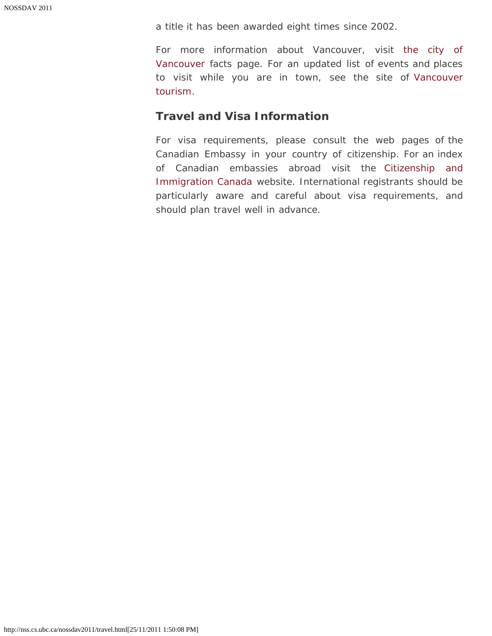a title it has been awarded eight times since 2002.

For more information about Vancouver, visit [the city of](http://vancouver.ca/aboutvan.htm) [Vancouver](http://vancouver.ca/aboutvan.htm) facts page. For an updated list of events and places to visit while you are in town, see the site of [Vancouver](http://www.tourismvancouver.com/visitors/) [tourism.](http://www.tourismvancouver.com/visitors/)

# **Travel and Visa Information**

For visa requirements, please consult the web pages of the Canadian Embassy in your country of citizenship. For an index of Canadian embassies abroad visit the [Citizenship and](http://www.cic.gc.ca/english/information/offices/apply-where.asp) [Immigration Canada](http://www.cic.gc.ca/english/information/offices/apply-where.asp) website. International registrants should be particularly aware and careful about visa requirements, and should plan travel well in advance.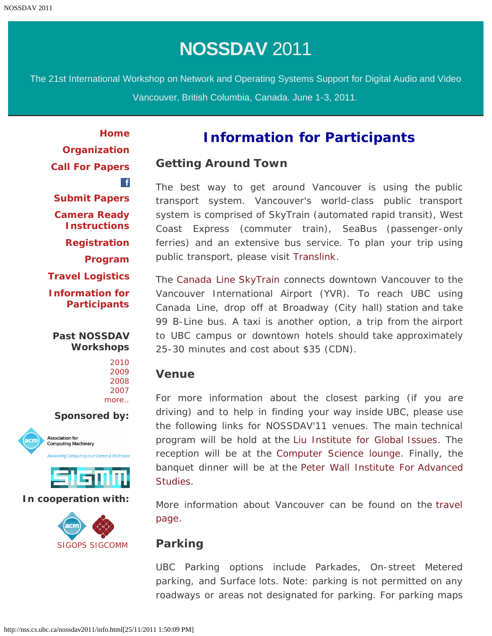<span id="page-14-0"></span>The 21st International Workshop on Network and Operating Systems Support for Digital Audio and Video Vancouver, British Columbia, Canada. June 1-3, 2011.

**[Home](#page-1-0) [Organization](#page-2-0) [Call For Papers](#page-4-0)**  $\mathbf{f}$ **[Submit Papers](http://nss.cs.ubc.ca/nossdav2011-hotcrp/) [Camera Ready](http://www.sheridanprinting.com/typedept/nossdav.htm) [Instructions](http://www.sheridanprinting.com/typedept/nossdav.htm) [Registration](#page-6-0) [Program](#page-7-0) [Travel Logistics](#page-12-0) [Information for](#page-14-0) [Participants](#page-14-0)**

# **Past NOSSDAV Workshops**



**Sponsored by:**





# **In cooperation with:**



# **Information for Participants**

# **Getting Around Town**

The best way to get around Vancouver is using the public transport system. Vancouver's world-class public transport system is comprised of SkyTrain (automated rapid transit), West Coast Express (commuter train), SeaBus (passenger-only ferries) and an extensive bus service. To plan your trip using public transport, please visit [Translink](http://www.translink.ca/).

The [Canada Line SkyTrain](http://tripplanning.translink.ca/hiwire?.a=iScheduleLookupSearch&LineAbbr=980) connects downtown Vancouver to the Vancouver International Airport (YVR). To reach UBC using Canada Line, drop off at Broadway (City hall) station and take 99 B-Line bus. A taxi is another option, a trip from the airport to UBC campus or downtown hotels should take approximately 25-30 minutes and cost about \$35 (CDN).

# **Venue**

For more information about the closest parking (if you are driving) and to help in finding your way inside UBC, please use the following links for NOSSDAV'11 venues. The main technical program will be hold at the [Liu Institute for Global Issues.](http://www.maps.ubc.ca/PROD/index_detail.php?show=y,n,n,n,n,y&bldg2Search=n&locat1=496) The reception will be at the [Computer Science lounge](http://www.maps.ubc.ca/PROD/index_detail.php?show=y,n,n,n,n,y&bldg2Search=n&locat1=166). Finally, the banquet dinner will be at the [Peter Wall Institute For Advanced](http://www.maps.ubc.ca/PROD/index_detail.php?show=y,n,n,n,n,y&bldg2Search=n&locat1=344) [Studies](http://www.maps.ubc.ca/PROD/index_detail.php?show=y,n,n,n,n,y&bldg2Search=n&locat1=344).

More information about Vancouver can be found on the [travel](#page-12-0) [page.](#page-12-0)

# **Parking**

UBC Parking options include Parkades, On-street Metered parking, and Surface lots. Note: parking is not permitted on any roadways or areas not designated for parking. For parking maps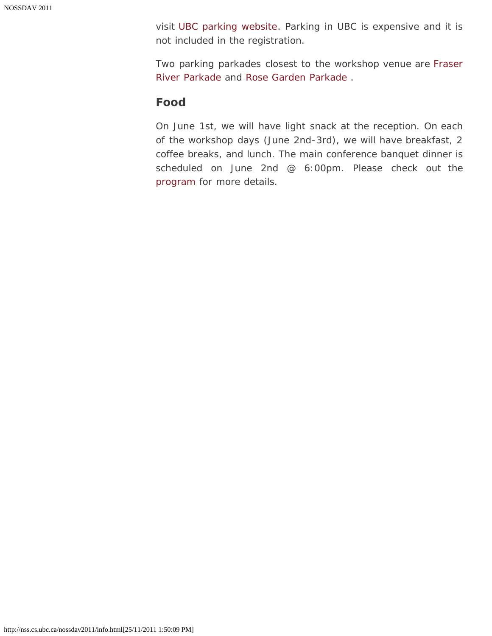visit [UBC parking website](http://www.parking.ubc.ca/maps.html). Parking in UBC is expensive and it is not included in the registration.

Two parking parkades closest to the workshop venue are [Fraser](http://www.maps.ubc.ca/PROD/index_detail.php?show=y,n,n,n,y,y&bldg2Search=n&locat1=052&locat2) [River Parkade a](http://www.maps.ubc.ca/PROD/index_detail.php?show=y,n,n,n,y,y&bldg2Search=n&locat1=052&locat2)nd [Rose Garden Parkade .](http://www.maps.ubc.ca/PROD/index_detail.php?show=y,n,n,n,y,y&bldg2Search=n&locat1=528&locat2)

# **Food**

On June 1st, we will have light snack at the reception. On each of the workshop days (June 2nd-3rd), we will have breakfast, 2 coffee breaks, and lunch. The main conference banquet dinner is scheduled on June 2nd @ 6:00pm. Please check out the [program](#page-7-0) for more details.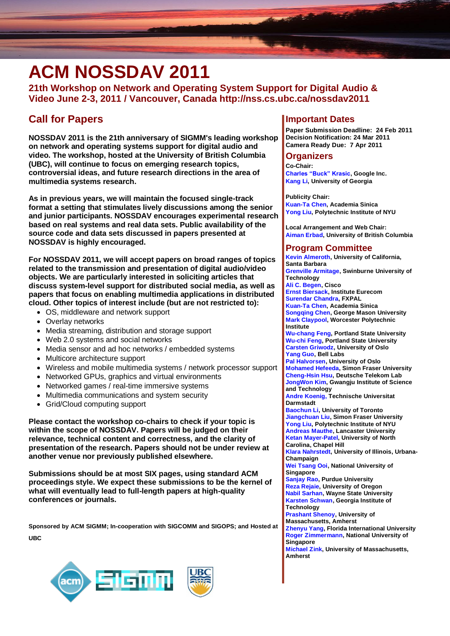# <span id="page-16-0"></span>**ACM NOSSDAV 2011**

**21th Workshop on Network and Operating System Support for Digital Audio & Video June 2-3, 2011 / Vancouver, Canada http://nss.cs.ubc.ca/nossdav2011**

# **Call for Papers**

**NOSSDAV 2011 is the 21th anniversary of SIGMM's leading workshop on network and operating systems support for digital audio and video. The workshop, hosted at the University of British Columbia (UBC), will continue to focus on emerging research topics, controversial ideas, and future research directions in the area of multimedia systems research.**

**As in previous years, we will maintain the focused single-track format a setting that stimulates lively discussions among the senior and junior participants. NOSSDAV encourages experimental research based on real systems and real data sets. Public availability of the source code and data sets discussed in papers presented at NOSSDAV is highly encouraged.**

**For NOSSDAV 2011, we will accept papers on broad ranges of topics related to the transmission and presentation of digital audio/video objects. We are particularly interested in soliciting articles that discuss system-level support for distributed social media, as well as papers that focus on enabling multimedia applications in distributed cloud. Other topics of interest include (but are not restricted to):**

- OS, middleware and network support
- Overlay networks
- Media streaming, distribution and storage support
- Web 2.0 systems and social networks
- Media sensor and ad hoc networks / embedded systems
- Multicore architecture support
- Wireless and mobile multimedia systems / network processor support
- Networked GPUs, graphics and virtual environments
- Networked games / real-time immersive systems
- Multimedia communications and system security
- Grid/Cloud computing support

**Please contact the workshop co-chairs to check if your topic is within the scope of NOSSDAV. Papers will be judged on their relevance, technical content and correctness, and the clarity of presentation of the research. Papers should not be under review at another venue nor previously published elsewhere.**

**Submissions should be at most SIX pages, using standard ACM proceedings style. We expect these submissions to be the kernel of what will eventually lead to full-length papers at high-quality conferences or journals.**

**Sponsored by ACM SIGMM; In-cooperation with SIGCOMM and SIGOPS; and Hosted at UBC**



### **Important Dates**

**Paper Submission Deadline: 24 Feb 2011 Decision Notification: 24 Mar 2011 Camera Ready Due: 7 Apr 2011**

#### **Organizers**

**Co-Chair: Charles "Buck" Krasic, Google Inc. Kang Li, University of Georgia**

**Publicity Chair: Kuan-Ta Chen, Academia Sinica Yong Liu, Polytechnic Institute of NYU**

**Local Arrangement and Web Chair: Aiman Erbad, University of British Columbia**

# **Program Committee**

**Kevin Almeroth, University of California, Santa Barbara Grenville Armitage, Swinburne University of Technology Ali C. Begen, Cisco Ernst Biersack, Institute Eurecom Surendar Chandra, FXPAL Kuan-Ta Chen, Academia Sinica Songqing Chen, George Mason University Mark Claypool, Worcester Polytechnic Institute Wu-chang Feng, Portland State University Wu-chi Feng, Portland State University Carsten Griwodz, University of Oslo Yang Guo, Bell Labs Pal Halvorsen, University of Oslo Mohamed Hefeeda, Simon Fraser University Cheng-Hsin Hsu, Deutsche Telekom Lab JongWon Kim, Gwangju Institute of Science and Technology Andre Koenig, Technische Universitat Darmstadt Baochun Li, University of Toronto Jiangchuan Liu, Simon Fraser University Yong Liu, Polytechnic Institute of NYU Andreas Mauthe, Lancaster University Ketan Mayer-Patel, University of North Carolina, Chapel Hill Klara Nahrstedt, University of Illinois, Urbana-Champaign Wei Tsang Ooi, National University of Singapore Sanjay Rao, Purdue University Reza Rejaie, University of Oregon Nabil Sarhan, Wayne State University Karsten Schwan, Georgia Institute of Technology Prashant Shenoy, University of Massachusetts, Amherst Zhenyu Yang, Florida International University Roger Zimmermann, National University of Singapore Michael Zink, University of Massachusetts, Amherst**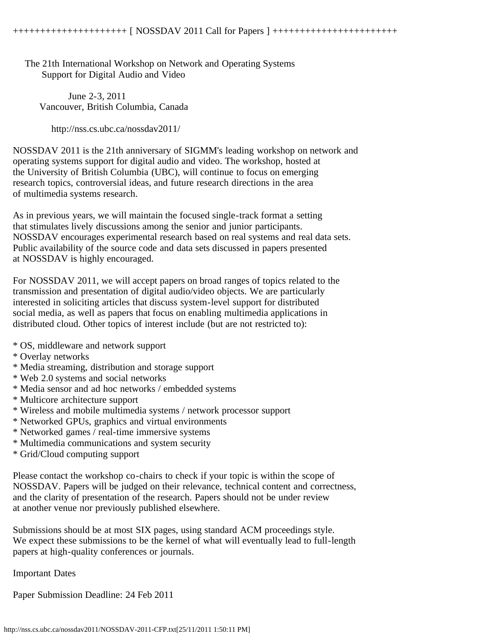<span id="page-17-0"></span> The 21th International Workshop on Network and Operating Systems Support for Digital Audio and Video

 June 2-3, 2011 Vancouver, British Columbia, Canada

http://nss.cs.ubc.ca/nossdav2011/

NOSSDAV 2011 is the 21th anniversary of SIGMM's leading workshop on network and operating systems support for digital audio and video. The workshop, hosted at the University of British Columbia (UBC), will continue to focus on emerging research topics, controversial ideas, and future research directions in the area of multimedia systems research.

As in previous years, we will maintain the focused single-track format a setting that stimulates lively discussions among the senior and junior participants. NOSSDAV encourages experimental research based on real systems and real data sets. Public availability of the source code and data sets discussed in papers presented at NOSSDAV is highly encouraged.

For NOSSDAV 2011, we will accept papers on broad ranges of topics related to the transmission and presentation of digital audio/video objects. We are particularly interested in soliciting articles that discuss system-level support for distributed social media, as well as papers that focus on enabling multimedia applications in distributed cloud. Other topics of interest include (but are not restricted to):

- \* OS, middleware and network support
- \* Overlay networks
- \* Media streaming, distribution and storage support
- \* Web 2.0 systems and social networks
- \* Media sensor and ad hoc networks / embedded systems
- \* Multicore architecture support
- \* Wireless and mobile multimedia systems / network processor support
- \* Networked GPUs, graphics and virtual environments
- \* Networked games / real-time immersive systems
- \* Multimedia communications and system security
- \* Grid/Cloud computing support

Please contact the workshop co-chairs to check if your topic is within the scope of NOSSDAV. Papers will be judged on their relevance, technical content and correctness, and the clarity of presentation of the research. Papers should not be under review at another venue nor previously published elsewhere.

Submissions should be at most SIX pages, using standard ACM proceedings style. We expect these submissions to be the kernel of what will eventually lead to full-length papers at high-quality conferences or journals.

Important Dates

Paper Submission Deadline: 24 Feb 2011